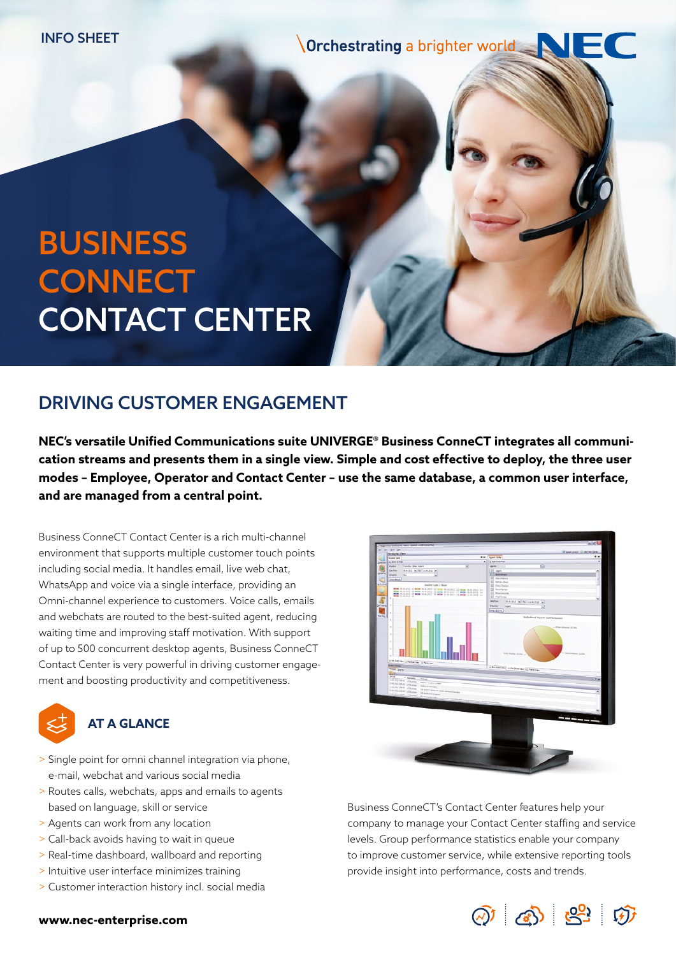**Orchestrating a brighter world** 

# BUSINESS **CONNECT** CONTACT CENTER

# DRIVING CUSTOMER ENGAGEMENT

**NEC's versatile Unified Communications suite UNIVERGE® Business ConneCT integrates all communication streams and presents them in a single view. Simple and cost effective to deploy, the three user modes – Employee, Operator and Contact Center – use the same database, a common user interface, and are managed from a central point.**

Business ConneCT Contact Center is a rich multi-channel environment that supports multiple customer touch points including social media. It handles email, live web chat, WhatsApp and voice via a single interface, providing an Omni-channel experience to customers. Voice calls, emails and webchats are routed to the best-suited agent, reducing waiting time and improving staff motivation. With support of up to 500 concurrent desktop agents, Business ConneCT Contact Center is very powerful in driving customer engagement and boosting productivity and competitiveness.

## **AT A GLANCE**

- > Single point for omni channel integration via phone, e-mail, webchat and various social media
- > Routes calls, webchats, apps and emails to agents based on language, skill or service
- > Agents can work from any location
- > Call-back avoids having to wait in queue
- > Real-time dashboard, wallboard and reporting
- > Intuitive user interface minimizes training
- > Customer interaction history incl. social media



Business ConneCT's Contact Center features help your company to manage your Contact Center staffing and service levels. Group performance statistics enable your company to improve customer service, while extensive reporting tools provide insight into performance, costs and trends.



#### **www.nec-enterprise.com**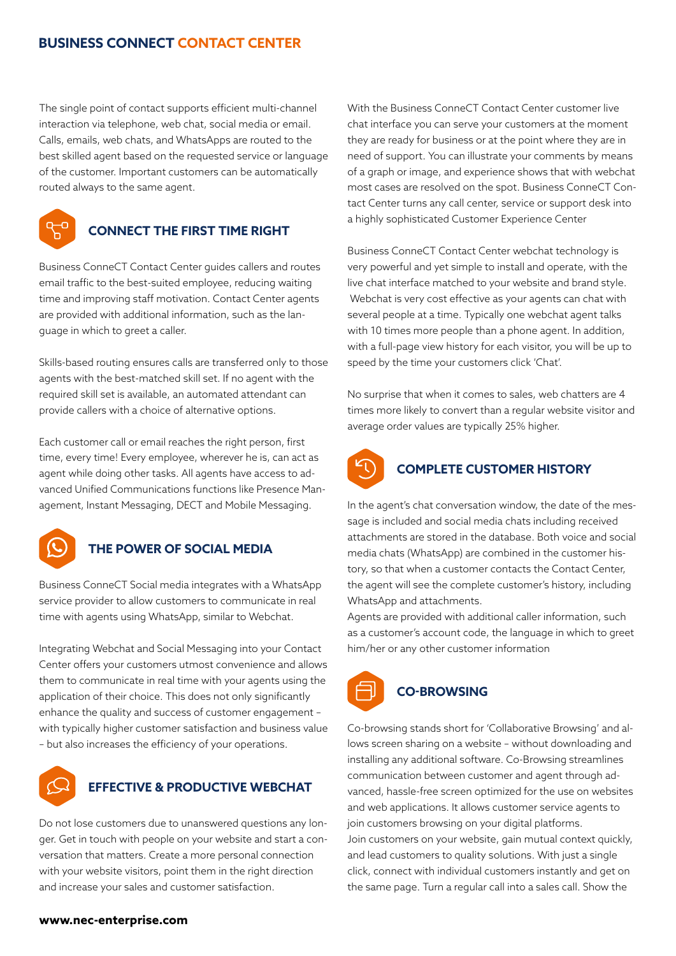#### **BUSINESS CONNECT CONTACT CENTER**

The single point of contact supports efficient multi-channel interaction via telephone, web chat, social media or email. Calls, emails, web chats, and WhatsApps are routed to the best skilled agent based on the requested service or language of the customer. Important customers can be automatically routed always to the same agent.



### **CONNECT THE FIRST TIME RIGHT**

Business ConneCT Contact Center guides callers and routes email traffic to the best-suited employee, reducing waiting time and improving staff motivation. Contact Center agents are provided with additional information, such as the language in which to greet a caller.

Skills-based routing ensures calls are transferred only to those agents with the best-matched skill set. If no agent with the required skill set is available, an automated attendant can provide callers with a choice of alternative options.

Each customer call or email reaches the right person, first time, every time! Every employee, wherever he is, can act as agent while doing other tasks. All agents have access to advanced Unified Communications functions like Presence Management, Instant Messaging, DECT and Mobile Messaging.



#### **THE POWER OF SOCIAL MEDIA**

Business ConneCT Social media integrates with a WhatsApp service provider to allow customers to communicate in real time with agents using WhatsApp, similar to Webchat.

Integrating Webchat and Social Messaging into your Contact Center offers your customers utmost convenience and allows them to communicate in real time with your agents using the application of their choice. This does not only significantly enhance the quality and success of customer engagement – with typically higher customer satisfaction and business value – but also increases the efficiency of your operations.



#### **EFFECTIVE & PRODUCTIVE WEBCHAT**

Do not lose customers due to unanswered questions any longer. Get in touch with people on your website and start a conversation that matters. Create a more personal connection with your website visitors, point them in the right direction and increase your sales and customer satisfaction.

With the Business ConneCT Contact Center customer live chat interface you can serve your customers at the moment they are ready for business or at the point where they are in need of support. You can illustrate your comments by means of a graph or image, and experience shows that with webchat most cases are resolved on the spot. Business ConneCT Contact Center turns any call center, service or support desk into a highly sophisticated Customer Experience Center

Business ConneCT Contact Center webchat technology is very powerful and yet simple to install and operate, with the live chat interface matched to your website and brand style. Webchat is very cost effective as your agents can chat with several people at a time. Typically one webchat agent talks with 10 times more people than a phone agent. In addition, with a full-page view history for each visitor, you will be up to speed by the time your customers click 'Chat'.

No surprise that when it comes to sales, web chatters are 4 times more likely to convert than a regular website visitor and average order values are typically 25% higher.



#### **COMPLETE CUSTOMER HISTORY**

In the agent's chat conversation window, the date of the message is included and social media chats including received attachments are stored in the database. Both voice and social media chats (WhatsApp) are combined in the customer history, so that when a customer contacts the Contact Center, the agent will see the complete customer's history, including WhatsApp and attachments.

Agents are provided with additional caller information, such as a customer's account code, the language in which to greet him/her or any other customer information



Co-browsing stands short for 'Collaborative Browsing' and allows screen sharing on a website – without downloading and installing any additional software. Co-Browsing streamlines communication between customer and agent through advanced, hassle-free screen optimized for the use on websites and web applications. It allows customer service agents to join customers browsing on your digital platforms. Join customers on your website, gain mutual context quickly, and lead customers to quality solutions. With just a single click, connect with individual customers instantly and get on the same page. Turn a regular call into a sales call. Show the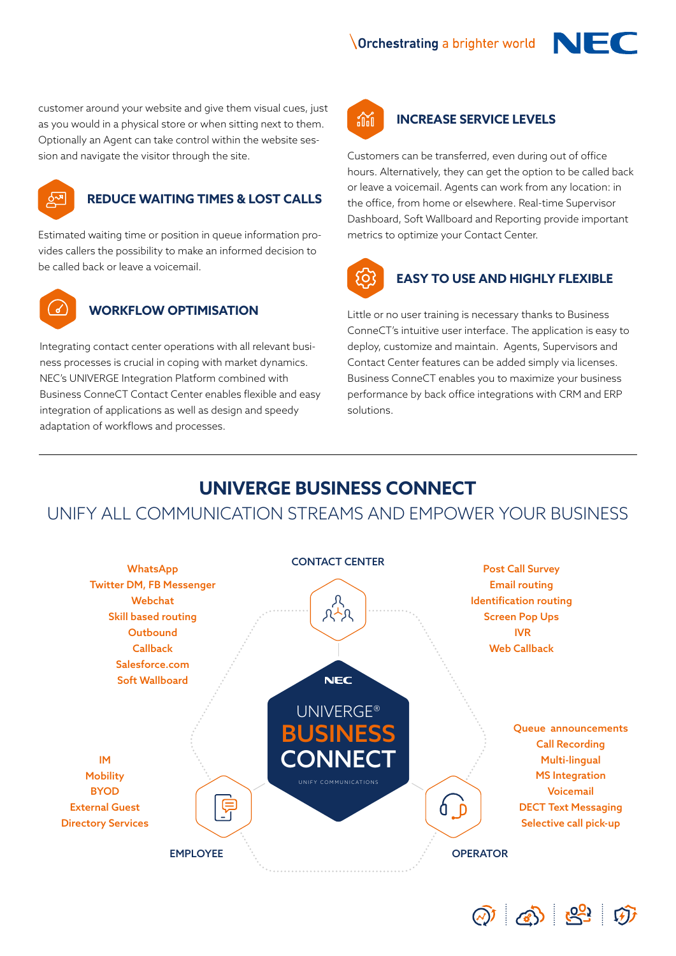**Orchestrating a brighter world** 



customer around your website and give them visual cues, just as you would in a physical store or when sitting next to them. Optionally an Agent can take control within the website session and navigate the visitor through the site.



#### **REDUCE WAITING TIMES & LOST CALLS**

Estimated waiting time or position in queue information provides callers the possibility to make an informed decision to be called back or leave a voicemail.



#### **WORKFLOW OPTIMISATION**

Integrating contact center operations with all relevant business processes is crucial in coping with market dynamics. NEC's UNIVERGE Integration Platform combined with Business ConneCT Contact Center enables flexible and easy integration of applications as well as design and speedy adaptation of workflows and processes.



#### **INCREASE SERVICE LEVELS**

Customers can be transferred, even during out of office hours. Alternatively, they can get the option to be called back or leave a voicemail. Agents can work from any location: in the office, from home or elsewhere. Real-time Supervisor Dashboard, Soft Wallboard and Reporting provide important metrics to optimize your Contact Center.



#### **EASY TO USE AND HIGHLY FLEXIBLE**

Little or no user training is necessary thanks to Business ConneCT's intuitive user interface. The application is easy to deploy, customize and maintain. Agents, Supervisors and Contact Center features can be added simply via licenses. Business ConneCT enables you to maximize your business performance by back office integrations with CRM and ERP solutions.

 $\odot$   $\odot$   $\odot$   $\odot$ 

# **UNIVERGE BUSINESS CONNECT**

## UNIFY ALL COMMUNICATION STREAMS AND EMPOWER YOUR BUSINESS